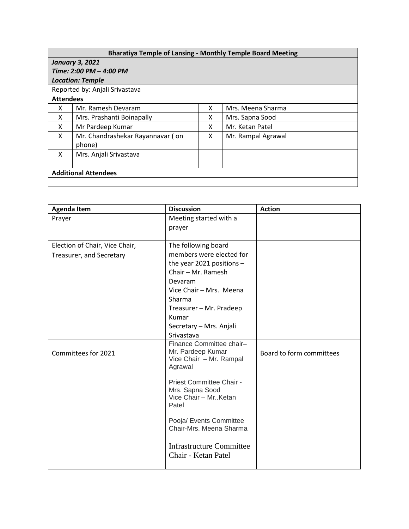| <b>Bharatiya Temple of Lansing - Monthly Temple Board Meeting</b> |  |
|-------------------------------------------------------------------|--|
| January 3, 2021                                                   |  |
| Time: 2:00 PM - 4:00 PM                                           |  |
| <b>Location: Temple</b>                                           |  |

|                             | Reported by: Anjali Srivastava             |   |                    |  |  |  |
|-----------------------------|--------------------------------------------|---|--------------------|--|--|--|
| <b>Attendees</b>            |                                            |   |                    |  |  |  |
| x                           | Mr. Ramesh Devaram                         | x | Mrs. Meena Sharma  |  |  |  |
| X                           | Mrs. Prashanti Boinapally                  | х | Mrs. Sapna Sood    |  |  |  |
| X                           | Mr Pardeep Kumar                           | x | Mr. Ketan Patel    |  |  |  |
| X                           | Mr. Chandrashekar Rayannavar (on<br>phone) | x | Mr. Rampal Agrawal |  |  |  |
| x                           | Mrs. Anjali Srivastava                     |   |                    |  |  |  |
|                             |                                            |   |                    |  |  |  |
| <b>Additional Attendees</b> |                                            |   |                    |  |  |  |
|                             |                                            |   |                    |  |  |  |

| <b>Agenda Item</b>             | <b>Discussion</b>                            | <b>Action</b>            |
|--------------------------------|----------------------------------------------|--------------------------|
| Prayer                         | Meeting started with a                       |                          |
|                                | prayer                                       |                          |
|                                |                                              |                          |
| Election of Chair, Vice Chair, | The following board                          |                          |
| Treasurer, and Secretary       | members were elected for                     |                          |
|                                | the year 2021 positions $-$                  |                          |
|                                | Chair - Mr. Ramesh                           |                          |
|                                | Devaram                                      |                          |
|                                | Vice Chair - Mrs. Meena                      |                          |
|                                | Sharma                                       |                          |
|                                | Treasurer - Mr. Pradeep                      |                          |
|                                | Kumar                                        |                          |
|                                | Secretary - Mrs. Anjali                      |                          |
|                                | Srivastava                                   |                          |
|                                | Finance Committee chair-                     |                          |
| Committees for 2021            | Mr. Pardeep Kumar<br>Vice Chair - Mr. Rampal | Board to form committees |
|                                | Agrawal                                      |                          |
|                                |                                              |                          |
|                                | Priest Committee Chair -                     |                          |
|                                | Mrs. Sapna Sood                              |                          |
|                                | Vice Chair - Mr. Ketan<br>Patel              |                          |
|                                |                                              |                          |
|                                | Pooja/ Events Committee                      |                          |
|                                | Chair-Mrs. Meena Sharma                      |                          |
|                                |                                              |                          |
|                                | <b>Infrastructure Committee</b>              |                          |
|                                | Chair - Ketan Patel                          |                          |
|                                |                                              |                          |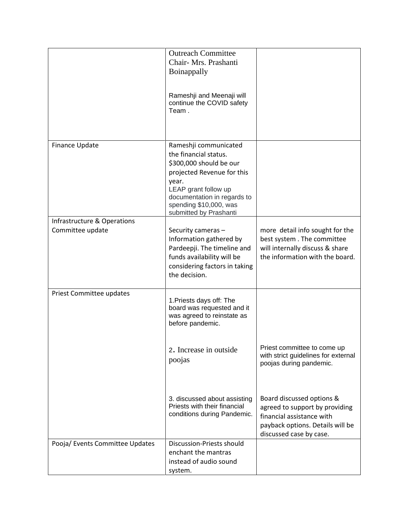|                                                 | <b>Outreach Committee</b><br>Chair- Mrs. Prashanti<br>Boinappally<br>Rameshji and Meenaji will<br>continue the COVID safety<br>Team.                                                                                        |                                                                                                                                                         |
|-------------------------------------------------|-----------------------------------------------------------------------------------------------------------------------------------------------------------------------------------------------------------------------------|---------------------------------------------------------------------------------------------------------------------------------------------------------|
| Finance Update                                  | Rameshji communicated<br>the financial status.<br>\$300,000 should be our<br>projected Revenue for this<br>year.<br>LEAP grant follow up<br>documentation in regards to<br>spending \$10,000, was<br>submitted by Prashanti |                                                                                                                                                         |
| Infrastructure & Operations<br>Committee update | Security cameras -<br>Information gathered by<br>Pardeepji. The timeline and<br>funds availability will be<br>considering factors in taking<br>the decision.                                                                | more detail info sought for the<br>best system. The committee<br>will internally discuss & share<br>the information with the board.                     |
| Priest Committee updates                        | 1. Priests days off: The<br>board was requested and it<br>was agreed to reinstate as<br>before pandemic.<br>2. Increase in outside<br>poojas                                                                                | Priest committee to come up<br>with strict guidelines for external<br>poojas during pandemic.                                                           |
|                                                 | 3. discussed about assisting<br>Priests with their financial<br>conditions during Pandemic.                                                                                                                                 | Board discussed options &<br>agreed to support by providing<br>financial assistance with<br>payback options. Details will be<br>discussed case by case. |
| Pooja/ Events Committee Updates                 | Discussion-Priests should<br>enchant the mantras<br>instead of audio sound<br>system.                                                                                                                                       |                                                                                                                                                         |